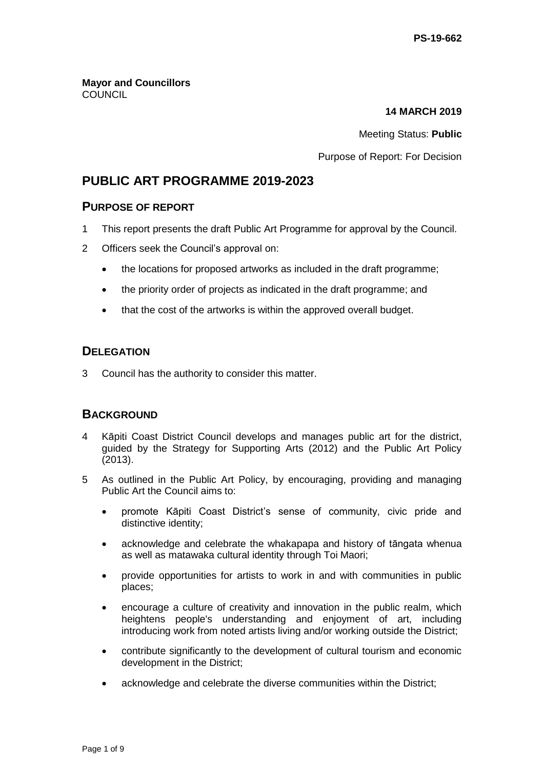**Mayor and Councillors COUNCIL** 

#### **14 MARCH 2019**

Meeting Status: **Public**

#### Purpose of Report: For Decision

# **PUBLIC ART PROGRAMME 2019-2023**

## **PURPOSE OF REPORT**

- 1 This report presents the draft Public Art Programme for approval by the Council.
- 2 Officers seek the Council's approval on:
	- the locations for proposed artworks as included in the draft programme;
	- the priority order of projects as indicated in the draft programme; and
	- that the cost of the artworks is within the approved overall budget.

# **DELEGATION**

3 Council has the authority to consider this matter.

# **BACKGROUND**

- 4 Kāpiti Coast District Council develops and manages public art for the district, guided by the Strategy for Supporting Arts (2012) and the Public Art Policy (2013).
- 5 As outlined in the Public Art Policy, by encouraging, providing and managing Public Art the Council aims to:
	- promote Kāpiti Coast District's sense of community, civic pride and distinctive identity;
	- acknowledge and celebrate the whakapapa and history of tāngata whenua as well as matawaka cultural identity through Toi Maori;
	- provide opportunities for artists to work in and with communities in public places;
	- encourage a culture of creativity and innovation in the public realm, which heightens people's understanding and enjoyment of art, including introducing work from noted artists living and/or working outside the District;
	- contribute significantly to the development of cultural tourism and economic development in the District;
	- acknowledge and celebrate the diverse communities within the District;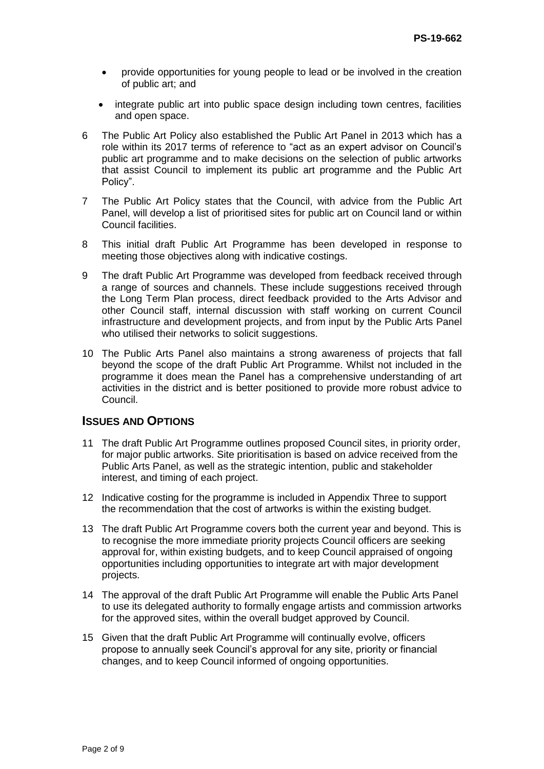- provide opportunities for young people to lead or be involved in the creation of public art; and
- integrate public art into public space design including town centres, facilities and open space.
- 6 The Public Art Policy also established the Public Art Panel in 2013 which has a role within its 2017 terms of reference to "act as an expert advisor on Council's public art programme and to make decisions on the selection of public artworks that assist Council to implement its public art programme and the Public Art Policy".
- 7 The Public Art Policy states that the Council, with advice from the Public Art Panel, will develop a list of prioritised sites for public art on Council land or within Council facilities.
- 8 This initial draft Public Art Programme has been developed in response to meeting those objectives along with indicative costings.
- 9 The draft Public Art Programme was developed from feedback received through a range of sources and channels. These include suggestions received through the Long Term Plan process, direct feedback provided to the Arts Advisor and other Council staff, internal discussion with staff working on current Council infrastructure and development projects, and from input by the Public Arts Panel who utilised their networks to solicit suggestions.
- 10 The Public Arts Panel also maintains a strong awareness of projects that fall beyond the scope of the draft Public Art Programme. Whilst not included in the programme it does mean the Panel has a comprehensive understanding of art activities in the district and is better positioned to provide more robust advice to Council.

## **ISSUES AND OPTIONS**

- 11 The draft Public Art Programme outlines proposed Council sites, in priority order, for major public artworks. Site prioritisation is based on advice received from the Public Arts Panel, as well as the strategic intention, public and stakeholder interest, and timing of each project.
- 12 Indicative costing for the programme is included in Appendix Three to support the recommendation that the cost of artworks is within the existing budget.
- 13 The draft Public Art Programme covers both the current year and beyond. This is to recognise the more immediate priority projects Council officers are seeking approval for, within existing budgets, and to keep Council appraised of ongoing opportunities including opportunities to integrate art with major development projects.
- 14 The approval of the draft Public Art Programme will enable the Public Arts Panel to use its delegated authority to formally engage artists and commission artworks for the approved sites, within the overall budget approved by Council.
- 15 Given that the draft Public Art Programme will continually evolve, officers propose to annually seek Council's approval for any site, priority or financial changes, and to keep Council informed of ongoing opportunities.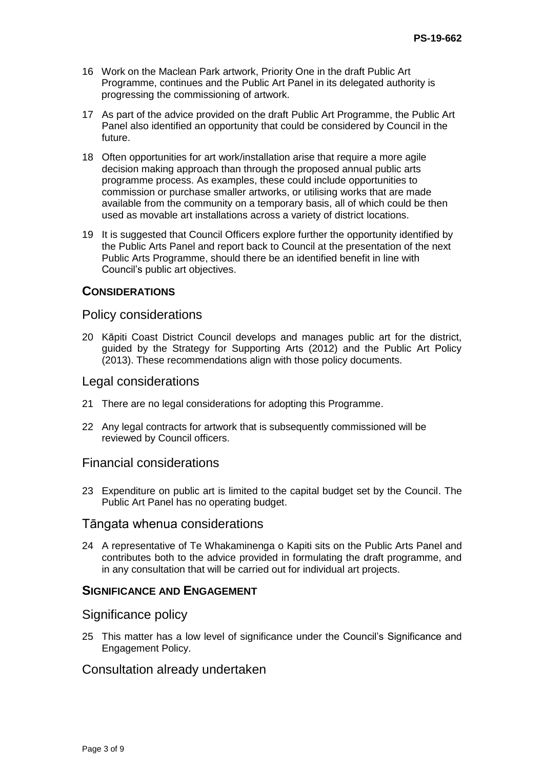- 16 Work on the Maclean Park artwork, Priority One in the draft Public Art Programme, continues and the Public Art Panel in its delegated authority is progressing the commissioning of artwork.
- 17 As part of the advice provided on the draft Public Art Programme, the Public Art Panel also identified an opportunity that could be considered by Council in the future.
- 18 Often opportunities for art work/installation arise that require a more agile decision making approach than through the proposed annual public arts programme process. As examples, these could include opportunities to commission or purchase smaller artworks, or utilising works that are made available from the community on a temporary basis, all of which could be then used as movable art installations across a variety of district locations.
- 19 It is suggested that Council Officers explore further the opportunity identified by the Public Arts Panel and report back to Council at the presentation of the next Public Arts Programme, should there be an identified benefit in line with Council's public art objectives.

#### **CONSIDERATIONS**

#### Policy considerations

20 Kāpiti Coast District Council develops and manages public art for the district, guided by the Strategy for Supporting Arts (2012) and the Public Art Policy (2013). These recommendations align with those policy documents.

#### Legal considerations

- 21 There are no legal considerations for adopting this Programme.
- 22 Any legal contracts for artwork that is subsequently commissioned will be reviewed by Council officers.

## Financial considerations

23 Expenditure on public art is limited to the capital budget set by the Council. The Public Art Panel has no operating budget.

## Tāngata whenua considerations

24 A representative of Te Whakaminenga o Kapiti sits on the Public Arts Panel and contributes both to the advice provided in formulating the draft programme, and in any consultation that will be carried out for individual art projects.

## **SIGNIFICANCE AND ENGAGEMENT**

#### Significance policy

25 This matter has a low level of significance under the Council's Significance and Engagement Policy.

## Consultation already undertaken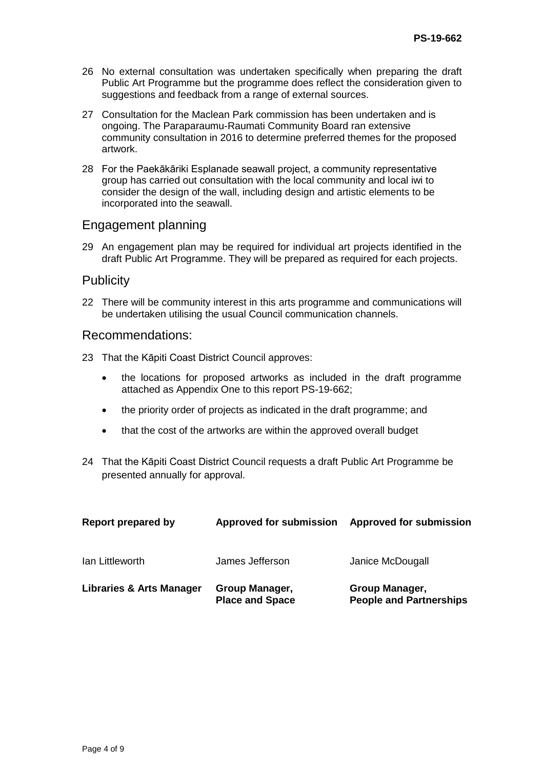- 26 No external consultation was undertaken specifically when preparing the draft Public Art Programme but the programme does reflect the consideration given to suggestions and feedback from a range of external sources.
- 27 Consultation for the Maclean Park commission has been undertaken and is ongoing. The Paraparaumu-Raumati Community Board ran extensive community consultation in 2016 to determine preferred themes for the proposed artwork.
- 28 For the Paekākāriki Esplanade seawall project, a community representative group has carried out consultation with the local community and local iwi to consider the design of the wall, including design and artistic elements to be incorporated into the seawall.

#### Engagement planning

29 An engagement plan may be required for individual art projects identified in the draft Public Art Programme. They will be prepared as required for each projects.

#### **Publicity**

22 There will be community interest in this arts programme and communications will be undertaken utilising the usual Council communication channels.

#### Recommendations:

- 23 That the Kāpiti Coast District Council approves:
	- the locations for proposed artworks as included in the draft programme attached as Appendix One to this report PS-19-662;
	- the priority order of projects as indicated in the draft programme; and
	- that the cost of the artworks are within the approved overall budget
- 24 That the Kāpiti Coast District Council requests a draft Public Art Programme be presented annually for approval.

| Report prepared by                  | <b>Approved for submission</b>           | <b>Approved for submission</b>                   |
|-------------------------------------|------------------------------------------|--------------------------------------------------|
| Ian Littleworth                     | James Jefferson                          | Janice McDougall                                 |
| <b>Libraries &amp; Arts Manager</b> | Group Manager,<br><b>Place and Space</b> | Group Manager,<br><b>People and Partnerships</b> |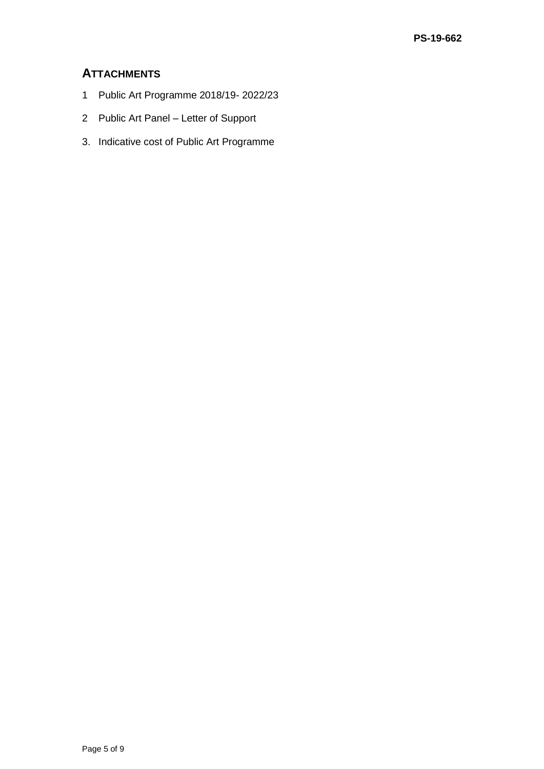# **ATTACHMENTS**

- 1 Public Art Programme 2018/19- 2022/23
- 2 Public Art Panel Letter of Support
- 3. Indicative cost of Public Art Programme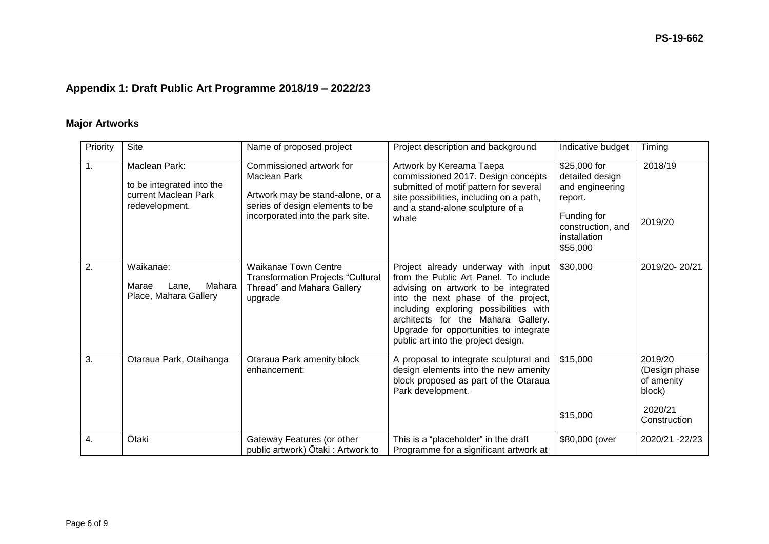# **Appendix 1: Draft Public Art Programme 2018/19 – 2022/23**

# **Major Artworks**

| Priority | Site                                                                                 | Name of proposed project                                                                                                                            | Project description and background                                                                                                                                                                                                                                                                                           | Indicative budget                                                                                                             | Timing                                                                      |
|----------|--------------------------------------------------------------------------------------|-----------------------------------------------------------------------------------------------------------------------------------------------------|------------------------------------------------------------------------------------------------------------------------------------------------------------------------------------------------------------------------------------------------------------------------------------------------------------------------------|-------------------------------------------------------------------------------------------------------------------------------|-----------------------------------------------------------------------------|
| 1.       | Maclean Park:<br>to be integrated into the<br>current Maclean Park<br>redevelopment. | Commissioned artwork for<br>Maclean Park<br>Artwork may be stand-alone, or a<br>series of design elements to be<br>incorporated into the park site. | Artwork by Kereama Taepa<br>commissioned 2017. Design concepts<br>submitted of motif pattern for several<br>site possibilities, including on a path,<br>and a stand-alone sculpture of a<br>whale                                                                                                                            | \$25,000 for<br>detailed design<br>and engineering<br>report.<br>Funding for<br>construction, and<br>installation<br>\$55,000 | 2018/19<br>2019/20                                                          |
| 2.       | Waikanae:<br>Mahara<br>Marae<br>Lane.<br>Place, Mahara Gallery                       | <b>Waikanae Town Centre</b><br><b>Transformation Projects "Cultural</b><br>Thread" and Mahara Gallery<br>upgrade                                    | Project already underway with input<br>from the Public Art Panel. To include<br>advising on artwork to be integrated<br>into the next phase of the project,<br>including exploring possibilities with<br>architects for the Mahara Gallery.<br>Upgrade for opportunities to integrate<br>public art into the project design. | \$30,000                                                                                                                      | 2019/20-20/21                                                               |
| 3.       | Otaraua Park, Otaihanga                                                              | Otaraua Park amenity block<br>enhancement:                                                                                                          | A proposal to integrate sculptural and<br>design elements into the new amenity<br>block proposed as part of the Otaraua<br>Park development.                                                                                                                                                                                 | \$15,000<br>\$15,000                                                                                                          | 2019/20<br>(Design phase<br>of amenity<br>block)<br>2020/21<br>Construction |
| 4.       | Ōtaki                                                                                | Gateway Features (or other<br>public artwork) Ōtaki : Artwork to                                                                                    | This is a "placeholder" in the draft<br>Programme for a significant artwork at                                                                                                                                                                                                                                               | \$80,000 (over                                                                                                                | 2020/21 - 22/23                                                             |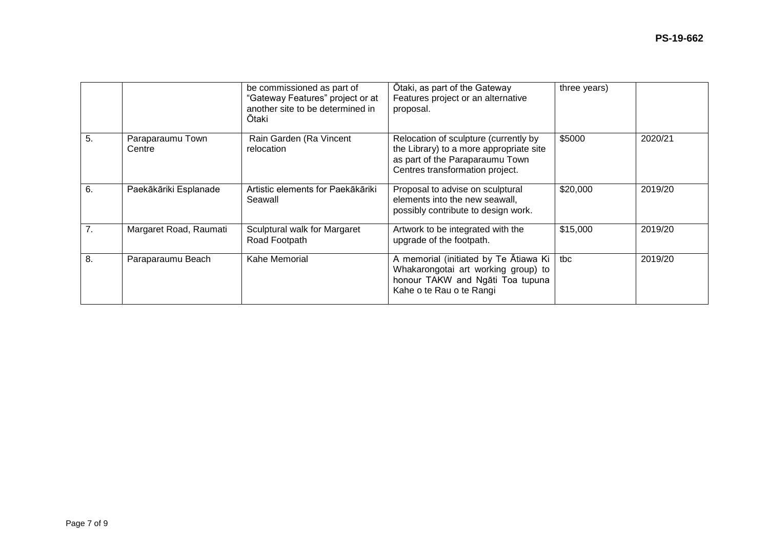|    |                            | be commissioned as part of<br>"Gateway Features" project or at<br>another site to be determined in<br>Ōtaki | Otaki, as part of the Gateway<br>Features project or an alternative<br>proposal.                                                                       | three years) |         |
|----|----------------------------|-------------------------------------------------------------------------------------------------------------|--------------------------------------------------------------------------------------------------------------------------------------------------------|--------------|---------|
| 5. | Paraparaumu Town<br>Centre | Rain Garden (Ra Vincent<br>relocation                                                                       | Relocation of sculpture (currently by<br>the Library) to a more appropriate site<br>as part of the Paraparaumu Town<br>Centres transformation project. | \$5000       | 2020/21 |
| 6. | Paekākāriki Esplanade      | Artistic elements for Paekākāriki<br>Seawall                                                                | Proposal to advise on sculptural<br>elements into the new seawall,<br>possibly contribute to design work.                                              | \$20,000     | 2019/20 |
| 7. | Margaret Road, Raumati     | Sculptural walk for Margaret<br>Road Footpath                                                               | Artwork to be integrated with the<br>upgrade of the footpath.                                                                                          | \$15,000     | 2019/20 |
| 8. | Paraparaumu Beach          | Kahe Memorial                                                                                               | A memorial (initiated by Te Atiawa Ki<br>Whakarongotai art working group) to<br>honour TAKW and Ngati Toa tupuna<br>Kahe o te Rau o te Rangi           | tbc          | 2019/20 |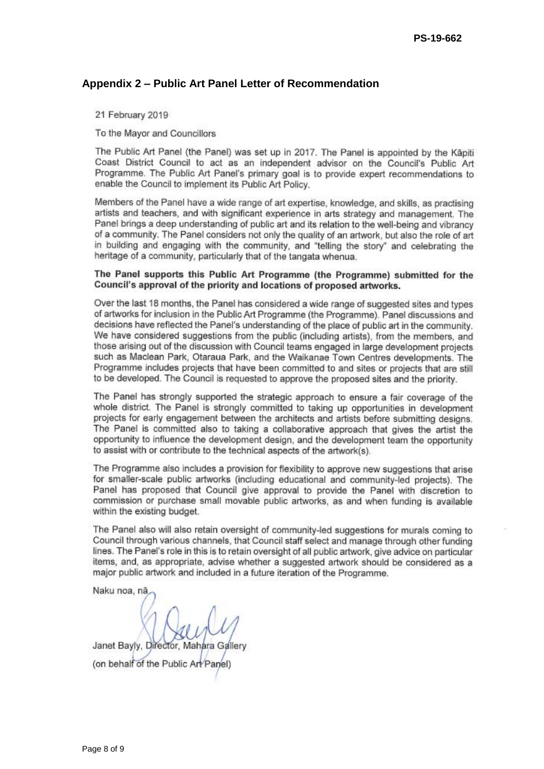#### **Appendix 2 – Public Art Panel Letter of Recommendation**

21 February 2019

To the Mayor and Councillors

The Public Art Panel (the Panel) was set up in 2017. The Panel is appointed by the Käpiti Coast District Council to act as an independent advisor on the Council's Public Art Programme. The Public Art Panel's primary goal is to provide expert recommendations to enable the Council to implement its Public Art Policy.

Members of the Panel have a wide range of art expertise, knowledge, and skills, as practising artists and teachers, and with significant experience in arts strategy and management. The Panel brings a deep understanding of public art and its relation to the well-being and vibrancy of a community. The Panel considers not only the quality of an artwork, but also the role of art in building and engaging with the community, and "telling the story" and celebrating the heritage of a community, particularly that of the tangata whenua.

#### The Panel supports this Public Art Programme (the Programme) submitted for the Council's approval of the priority and locations of proposed artworks.

Over the last 18 months, the Panel has considered a wide range of suggested sites and types of artworks for inclusion in the Public Art Programme (the Programme). Panel discussions and decisions have reflected the Panel's understanding of the place of public art in the community. We have considered suggestions from the public (including artists), from the members, and those arising out of the discussion with Council teams engaged in large development projects such as Maclean Park, Otaraua Park, and the Waikanae Town Centres developments. The Programme includes projects that have been committed to and sites or projects that are still to be developed. The Council is requested to approve the proposed sites and the priority.

The Panel has strongly supported the strategic approach to ensure a fair coverage of the whole district. The Panel is strongly committed to taking up opportunities in development projects for early engagement between the architects and artists before submitting designs. The Panel is committed also to taking a collaborative approach that gives the artist the opportunity to influence the development design, and the development team the opportunity to assist with or contribute to the technical aspects of the artwork(s).

The Programme also includes a provision for flexibility to approve new suggestions that arise for smaller-scale public artworks (including educational and community-led projects). The Panel has proposed that Council give approval to provide the Panel with discretion to commission or purchase small movable public artworks, as and when funding is available within the existing budget.

The Panel also will also retain oversight of community-led suggestions for murals coming to Council through various channels, that Council staff select and manage through other funding lines. The Panel's role in this is to retain oversight of all public artwork, give advice on particular items, and, as appropriate, advise whether a suggested artwork should be considered as a major public artwork and included in a future iteration of the Programme.

Naku noa, nā

Janet Bayly, Director, Mahara Gallery (on behalf of the Public Art Panel)